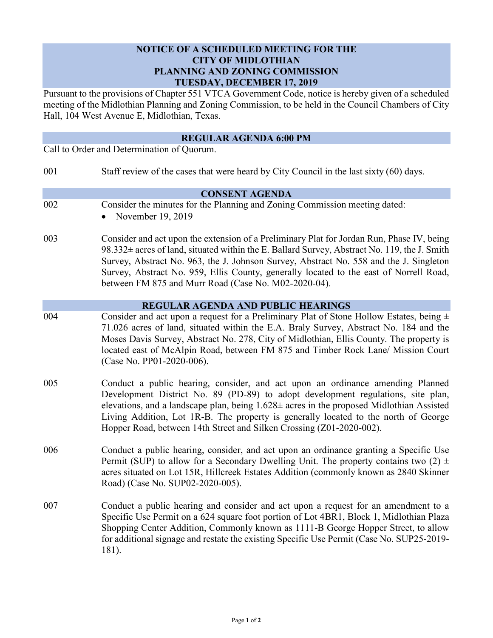## **NOTICE OF A SCHEDULED MEETING FOR THE CITY OF MIDLOTHIAN PLANNING AND ZONING COMMISSION TUESDAY, DECEMBER 17, 2019**

Pursuant to the provisions of Chapter 551 VTCA Government Code, notice is hereby given of a scheduled meeting of the Midlothian Planning and Zoning Commission, to be held in the Council Chambers of City Hall, 104 West Avenue E, Midlothian, Texas.

| <b>REGULAR AGENDA 6:00 PM</b><br>Call to Order and Determination of Quorum. |                                                                                                                                                                                                                                                                                                                                                                                                                                       |
|-----------------------------------------------------------------------------|---------------------------------------------------------------------------------------------------------------------------------------------------------------------------------------------------------------------------------------------------------------------------------------------------------------------------------------------------------------------------------------------------------------------------------------|
|                                                                             |                                                                                                                                                                                                                                                                                                                                                                                                                                       |
|                                                                             | <b>CONSENT AGENDA</b>                                                                                                                                                                                                                                                                                                                                                                                                                 |
| 002                                                                         | Consider the minutes for the Planning and Zoning Commission meeting dated:<br>November 19, 2019                                                                                                                                                                                                                                                                                                                                       |
| 003                                                                         | Consider and act upon the extension of a Preliminary Plat for Jordan Run, Phase IV, being<br>98.332± acres of land, situated within the E. Ballard Survey, Abstract No. 119, the J. Smith<br>Survey, Abstract No. 963, the J. Johnson Survey, Abstract No. 558 and the J. Singleton<br>Survey, Abstract No. 959, Ellis County, generally located to the east of Norrell Road,<br>between FM 875 and Murr Road (Case No. M02-2020-04). |
|                                                                             | <b>REGULAR AGENDA AND PUBLIC HEARINGS</b>                                                                                                                                                                                                                                                                                                                                                                                             |
| 004                                                                         | Consider and act upon a request for a Preliminary Plat of Stone Hollow Estates, being $\pm$<br>71.026 acres of land, situated within the E.A. Braly Survey, Abstract No. 184 and the<br>Moses Davis Survey, Abstract No. 278, City of Midlothian, Ellis County. The property is<br>located east of McAlpin Road, between FM 875 and Timber Rock Lane/ Mission Court<br>(Case No. PP01-2020-006).                                      |
| 005                                                                         | Conduct a public hearing, consider, and act upon an ordinance amending Planned<br>Development District No. 89 (PD-89) to adopt development regulations, site plan,<br>elevations, and a landscape plan, being $1.628 \pm$ acres in the proposed Midlothian Assisted<br>Living Addition, Lot 1R-B. The property is generally located to the north of George<br>Hopper Road, between 14th Street and Silken Crossing (Z01-2020-002).    |
| 006                                                                         | Conduct a public hearing, consider, and act upon an ordinance granting a Specific Use<br>Permit (SUP) to allow for a Secondary Dwelling Unit. The property contains two $(2) \pm$<br>acres situated on Lot 15R, Hillcreek Estates Addition (commonly known as 2840 Skinner<br>Road) (Case No. SUP02-2020-005).                                                                                                                        |
| 007                                                                         | Conduct a public hearing and consider and act upon a request for an amendment to a<br>Specific Use Permit on a 624 square foot portion of Lot 4BR1, Block 1, Midlothian Plaza<br>Shopping Center Addition, Commonly known as 1111-B George Hopper Street, to allow<br>for additional signage and restate the existing Specific Use Permit (Case No. SUP25-2019-<br>181).                                                              |